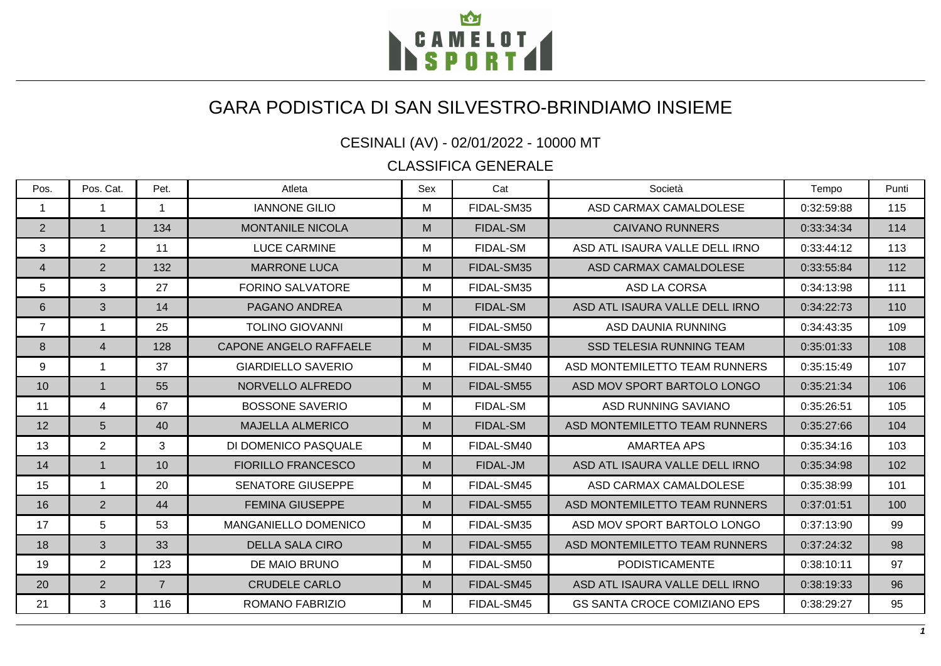

## GARA PODISTICA DI SAN SILVESTRO-BRINDIAMO INSIEME

CESINALI (AV) - 02/01/2022 - 10000 MT

CLASSIFICA GENERALE

| Pos.           | Pos. Cat.      | Pet.           | Atleta                        | Sex | Cat             | Società                             | Tempo      | Punti |
|----------------|----------------|----------------|-------------------------------|-----|-----------------|-------------------------------------|------------|-------|
| $\mathbf{1}$   | 1              | $\mathbf{1}$   | <b>IANNONE GILIO</b>          | М   | FIDAL-SM35      | ASD CARMAX CAMALDOLESE              | 0:32:59:88 | 115   |
| 2              | $\mathbf{1}$   | 134            | <b>MONTANILE NICOLA</b>       | M   | <b>FIDAL-SM</b> | <b>CAIVANO RUNNERS</b>              | 0:33:34:34 | 114   |
| 3              | $\overline{2}$ | 11             | <b>LUCE CARMINE</b>           | М   | <b>FIDAL-SM</b> | ASD ATL ISAURA VALLE DELL IRNO      | 0:33:44:12 | 113   |
| 4              | $\overline{2}$ | 132            | <b>MARRONE LUCA</b>           | M   | FIDAL-SM35      | ASD CARMAX CAMALDOLESE              | 0:33:55:84 | 112   |
| 5              | 3              | 27             | <b>FORINO SALVATORE</b>       | М   | FIDAL-SM35      | <b>ASD LA CORSA</b>                 | 0:34:13:98 | 111   |
| $6\phantom{1}$ | 3              | 14             | PAGANO ANDREA                 | M   | <b>FIDAL-SM</b> | ASD ATL ISAURA VALLE DELL IRNO      | 0:34:22:73 | 110   |
| $\overline{7}$ |                | 25             | <b>TOLINO GIOVANNI</b>        | М   | FIDAL-SM50      | <b>ASD DAUNIA RUNNING</b>           | 0:34:43:35 | 109   |
| 8              | $\overline{4}$ | 128            | <b>CAPONE ANGELO RAFFAELE</b> | M   | FIDAL-SM35      | <b>SSD TELESIA RUNNING TEAM</b>     | 0:35:01:33 | 108   |
| 9              | 1              | 37             | <b>GIARDIELLO SAVERIO</b>     | м   | FIDAL-SM40      | ASD MONTEMILETTO TEAM RUNNERS       | 0:35:15:49 | 107   |
| 10             | $\mathbf{1}$   | 55             | NORVELLO ALFREDO              | M   | FIDAL-SM55      | ASD MOV SPORT BARTOLO LONGO         | 0:35:21:34 | 106   |
| 11             | 4              | 67             | <b>BOSSONE SAVERIO</b>        | М   | <b>FIDAL-SM</b> | ASD RUNNING SAVIANO                 | 0:35:26:51 | 105   |
| 12             | 5              | 40             | <b>MAJELLA ALMERICO</b>       | M   | <b>FIDAL-SM</b> | ASD MONTEMILETTO TEAM RUNNERS       | 0:35:27:66 | 104   |
| 13             | $\overline{2}$ | 3              | DI DOMENICO PASQUALE          | М   | FIDAL-SM40      | <b>AMARTEA APS</b>                  | 0:35:34:16 | 103   |
| 14             | $\mathbf{1}$   | 10             | <b>FIORILLO FRANCESCO</b>     | M   | FIDAL-JM        | ASD ATL ISAURA VALLE DELL IRNO      | 0:35:34:98 | 102   |
| 15             | 1              | 20             | <b>SENATORE GIUSEPPE</b>      | М   | FIDAL-SM45      | ASD CARMAX CAMALDOLESE              | 0:35:38:99 | 101   |
| 16             | $\overline{2}$ | 44             | <b>FEMINA GIUSEPPE</b>        | M   | FIDAL-SM55      | ASD MONTEMILETTO TEAM RUNNERS       | 0:37:01:51 | 100   |
| 17             | 5              | 53             | <b>MANGANIELLO DOMENICO</b>   | М   | FIDAL-SM35      | ASD MOV SPORT BARTOLO LONGO         | 0:37:13:90 | 99    |
| 18             | $\overline{3}$ | 33             | <b>DELLA SALA CIRO</b>        | M   | FIDAL-SM55      | ASD MONTEMILETTO TEAM RUNNERS       | 0:37:24:32 | 98    |
| 19             | $\overline{2}$ | 123            | DE MAIO BRUNO                 | м   | FIDAL-SM50      | <b>PODISTICAMENTE</b>               | 0:38:10:11 | 97    |
| 20             | $\overline{2}$ | $\overline{7}$ | <b>CRUDELE CARLO</b>          | M   | FIDAL-SM45      | ASD ATL ISAURA VALLE DELL IRNO      | 0:38:19:33 | 96    |
| 21             | 3              | 116            | <b>ROMANO FABRIZIO</b>        | М   | FIDAL-SM45      | <b>GS SANTA CROCE COMIZIANO EPS</b> | 0:38:29:27 | 95    |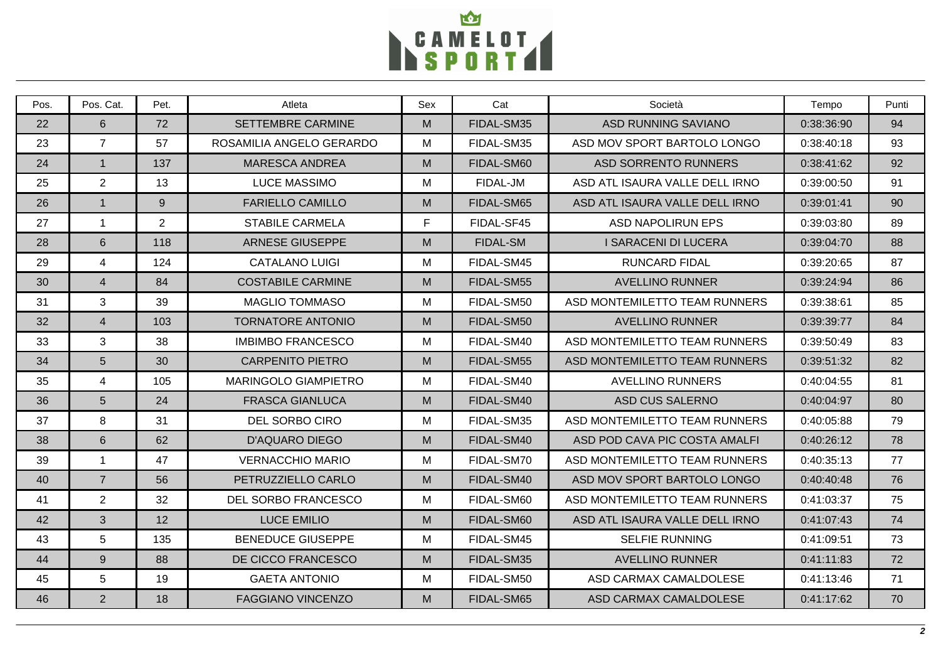

| Pos. | Pos. Cat.       | Pet.           | Atleta                      | Sex | Cat             | Società                        | Tempo      | Punti |
|------|-----------------|----------------|-----------------------------|-----|-----------------|--------------------------------|------------|-------|
| 22   | 6               | 72             | <b>SETTEMBRE CARMINE</b>    | M   | FIDAL-SM35      | <b>ASD RUNNING SAVIANO</b>     | 0:38:36:90 | 94    |
| 23   | $\overline{7}$  | 57             | ROSAMILIA ANGELO GERARDO    | M   | FIDAL-SM35      | ASD MOV SPORT BARTOLO LONGO    | 0:38:40:18 | 93    |
| 24   | $\mathbf{1}$    | 137            | <b>MARESCA ANDREA</b>       | M   | FIDAL-SM60      | <b>ASD SORRENTO RUNNERS</b>    | 0:38:41:62 | 92    |
| 25   | 2               | 13             | <b>LUCE MASSIMO</b>         | М   | FIDAL-JM        | ASD ATL ISAURA VALLE DELL IRNO | 0:39:00:50 | 91    |
| 26   | $\overline{1}$  | 9              | <b>FARIELLO CAMILLO</b>     | M   | FIDAL-SM65      | ASD ATL ISAURA VALLE DELL IRNO | 0:39:01:41 | 90    |
| 27   | $\mathbf{1}$    | $\overline{2}$ | <b>STABILE CARMELA</b>      | F   | FIDAL-SF45      | ASD NAPOLIRUN EPS              | 0:39:03:80 | 89    |
| 28   | 6               | 118            | <b>ARNESE GIUSEPPE</b>      | M   | <b>FIDAL-SM</b> | <b>I SARACENI DI LUCERA</b>    | 0:39:04:70 | 88    |
| 29   | $\overline{4}$  | 124            | <b>CATALANO LUIGI</b>       | M   | FIDAL-SM45      | <b>RUNCARD FIDAL</b>           | 0:39:20:65 | 87    |
| 30   | $\overline{4}$  | 84             | <b>COSTABILE CARMINE</b>    | M   | FIDAL-SM55      | <b>AVELLINO RUNNER</b>         | 0:39:24:94 | 86    |
| 31   | 3               | 39             | <b>MAGLIO TOMMASO</b>       | M   | FIDAL-SM50      | ASD MONTEMILETTO TEAM RUNNERS  | 0:39:38:61 | 85    |
| 32   | $\overline{4}$  | 103            | <b>TORNATORE ANTONIO</b>    | M   | FIDAL-SM50      | <b>AVELLINO RUNNER</b>         | 0:39:39:77 | 84    |
| 33   | 3               | 38             | <b>IMBIMBO FRANCESCO</b>    | M   | FIDAL-SM40      | ASD MONTEMILETTO TEAM RUNNERS  | 0:39:50:49 | 83    |
| 34   | $5\phantom{.0}$ | 30             | <b>CARPENITO PIETRO</b>     | M   | FIDAL-SM55      | ASD MONTEMILETTO TEAM RUNNERS  | 0:39:51:32 | 82    |
| 35   | $\overline{4}$  | 105            | <b>MARINGOLO GIAMPIETRO</b> | M   | FIDAL-SM40      | <b>AVELLINO RUNNERS</b>        | 0:40:04:55 | 81    |
| 36   | $5\phantom{.0}$ | 24             | <b>FRASCA GIANLUCA</b>      | M   | FIDAL-SM40      | ASD CUS SALERNO                | 0:40:04:97 | 80    |
| 37   | 8               | 31             | DEL SORBO CIRO              | M   | FIDAL-SM35      | ASD MONTEMILETTO TEAM RUNNERS  | 0:40:05:88 | 79    |
| 38   | 6               | 62             | <b>D'AQUARO DIEGO</b>       | M   | FIDAL-SM40      | ASD POD CAVA PIC COSTA AMALFI  | 0:40:26:12 | 78    |
| 39   | $\mathbf{1}$    | 47             | <b>VERNACCHIO MARIO</b>     | M   | FIDAL-SM70      | ASD MONTEMILETTO TEAM RUNNERS  | 0:40:35:13 | 77    |
| 40   | $\overline{7}$  | 56             | PETRUZZIELLO CARLO          | M   | FIDAL-SM40      | ASD MOV SPORT BARTOLO LONGO    | 0:40:40:48 | 76    |
| 41   | 2               | 32             | <b>DEL SORBO FRANCESCO</b>  | M   | FIDAL-SM60      | ASD MONTEMILETTO TEAM RUNNERS  | 0:41:03:37 | 75    |
| 42   | 3               | 12             | <b>LUCE EMILIO</b>          | M   | FIDAL-SM60      | ASD ATL ISAURA VALLE DELL IRNO | 0:41:07:43 | 74    |
| 43   | 5               | 135            | <b>BENEDUCE GIUSEPPE</b>    | M   | FIDAL-SM45      | <b>SELFIE RUNNING</b>          | 0:41:09:51 | 73    |
| 44   | 9               | 88             | DE CICCO FRANCESCO          | M   | FIDAL-SM35      | <b>AVELLINO RUNNER</b>         | 0:41:11:83 | 72    |
| 45   | 5               | 19             | <b>GAETA ANTONIO</b>        | М   | FIDAL-SM50      | ASD CARMAX CAMALDOLESE         | 0:41:13:46 | 71    |
| 46   | 2               | 18             | <b>FAGGIANO VINCENZO</b>    | M   | FIDAL-SM65      | ASD CARMAX CAMALDOLESE         | 0:41:17:62 | 70    |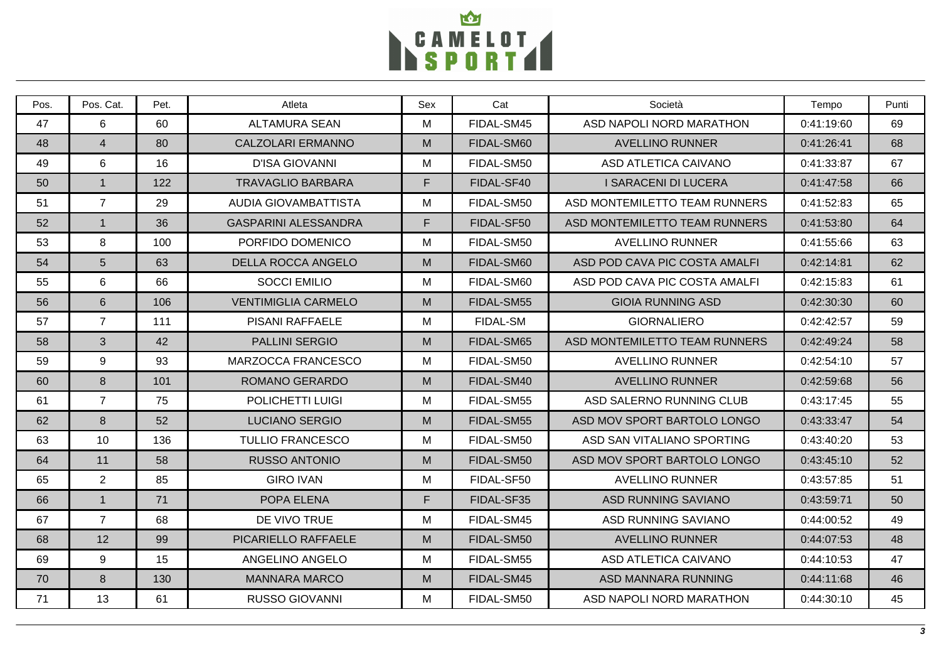

| Pos. | Pos. Cat.      | Pet. | Atleta                      | Sex | Cat             | Società                       | Tempo      | Punti |
|------|----------------|------|-----------------------------|-----|-----------------|-------------------------------|------------|-------|
| 47   | 6              | 60   | <b>ALTAMURA SEAN</b>        | M   | FIDAL-SM45      | ASD NAPOLI NORD MARATHON      | 0:41:19:60 | 69    |
| 48   | $\overline{4}$ | 80   | <b>CALZOLARI ERMANNO</b>    | M   | FIDAL-SM60      | <b>AVELLINO RUNNER</b>        | 0:41:26:41 | 68    |
| 49   | 6              | 16   | <b>D'ISA GIOVANNI</b>       | M   | FIDAL-SM50      | ASD ATLETICA CAIVANO          | 0:41:33:87 | 67    |
| 50   | $\mathbf{1}$   | 122  | <b>TRAVAGLIO BARBARA</b>    | F   | FIDAL-SF40      | I SARACENI DI LUCERA          | 0:41:47:58 | 66    |
| 51   | $\overline{7}$ | 29   | AUDIA GIOVAMBATTISTA        | M   | FIDAL-SM50      | ASD MONTEMILETTO TEAM RUNNERS | 0:41:52:83 | 65    |
| 52   | $\overline{1}$ | 36   | <b>GASPARINI ALESSANDRA</b> | F   | FIDAL-SF50      | ASD MONTEMILETTO TEAM RUNNERS | 0:41:53:80 | 64    |
| 53   | 8              | 100  | PORFIDO DOMENICO            | M   | FIDAL-SM50      | <b>AVELLINO RUNNER</b>        | 0:41:55:66 | 63    |
| 54   | $5\phantom{1}$ | 63   | <b>DELLA ROCCA ANGELO</b>   | M   | FIDAL-SM60      | ASD POD CAVA PIC COSTA AMALFI | 0:42:14:81 | 62    |
| 55   | 6              | 66   | <b>SOCCI EMILIO</b>         | M   | FIDAL-SM60      | ASD POD CAVA PIC COSTA AMALFI | 0:42:15:83 | 61    |
| 56   | $6\phantom{1}$ | 106  | <b>VENTIMIGLIA CARMELO</b>  | M   | FIDAL-SM55      | <b>GIOIA RUNNING ASD</b>      | 0:42:30:30 | 60    |
| 57   | $\overline{7}$ | 111  | <b>PISANI RAFFAELE</b>      | M   | <b>FIDAL-SM</b> | <b>GIORNALIERO</b>            | 0:42:42:57 | 59    |
| 58   | $\mathbf{3}$   | 42   | <b>PALLINI SERGIO</b>       | M   | FIDAL-SM65      | ASD MONTEMILETTO TEAM RUNNERS | 0:42:49:24 | 58    |
| 59   | 9              | 93   | MARZOCCA FRANCESCO          | М   | FIDAL-SM50      | <b>AVELLINO RUNNER</b>        | 0:42:54:10 | 57    |
| 60   | 8              | 101  | <b>ROMANO GERARDO</b>       | M   | FIDAL-SM40      | <b>AVELLINO RUNNER</b>        | 0:42:59:68 | 56    |
| 61   | $\overline{7}$ | 75   | POLICHETTI LUIGI            | M   | FIDAL-SM55      | ASD SALERNO RUNNING CLUB      | 0:43:17:45 | 55    |
| 62   | 8              | 52   | <b>LUCIANO SERGIO</b>       | M   | FIDAL-SM55      | ASD MOV SPORT BARTOLO LONGO   | 0:43:33:47 | 54    |
| 63   | 10             | 136  | <b>TULLIO FRANCESCO</b>     | M   | FIDAL-SM50      | ASD SAN VITALIANO SPORTING    | 0:43:40:20 | 53    |
| 64   | 11             | 58   | <b>RUSSO ANTONIO</b>        | M   | FIDAL-SM50      | ASD MOV SPORT BARTOLO LONGO   | 0:43:45:10 | 52    |
| 65   | 2              | 85   | <b>GIRO IVAN</b>            | M   | FIDAL-SF50      | <b>AVELLINO RUNNER</b>        | 0:43:57:85 | 51    |
| 66   | $\mathbf{1}$   | 71   | POPA ELENA                  | F.  | FIDAL-SF35      | <b>ASD RUNNING SAVIANO</b>    | 0:43:59:71 | 50    |
| 67   | $\overline{7}$ | 68   | DE VIVO TRUE                | M   | FIDAL-SM45      | <b>ASD RUNNING SAVIANO</b>    | 0:44:00:52 | 49    |
| 68   | 12             | 99   | PICARIELLO RAFFAELE         | M   | FIDAL-SM50      | <b>AVELLINO RUNNER</b>        | 0:44:07:53 | 48    |
| 69   | 9              | 15   | ANGELINO ANGELO             | М   | FIDAL-SM55      | ASD ATLETICA CAIVANO          | 0:44:10:53 | 47    |
| 70   | 8              | 130  | <b>MANNARA MARCO</b>        | M   | FIDAL-SM45      | ASD MANNARA RUNNING           | 0:44:11:68 | 46    |
| 71   | 13             | 61   | <b>RUSSO GIOVANNI</b>       | M   | FIDAL-SM50      | ASD NAPOLI NORD MARATHON      | 0:44:30:10 | 45    |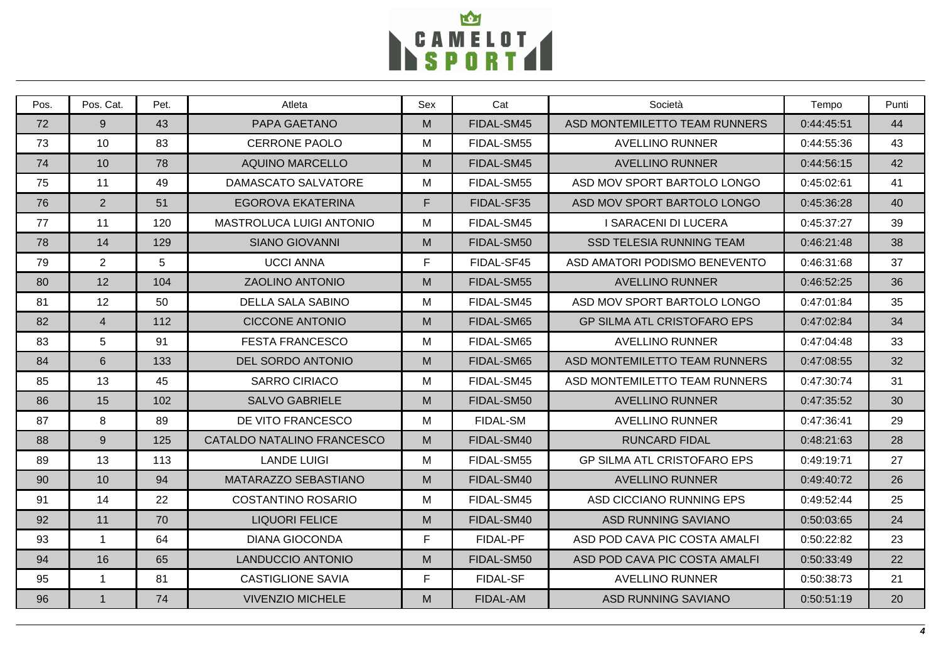

| Pos. | Pos. Cat.      | Pet. | Atleta                          | Sex | Cat             | Società                            | Tempo      | Punti |
|------|----------------|------|---------------------------------|-----|-----------------|------------------------------------|------------|-------|
| 72   | 9              | 43   | PAPA GAETANO                    | M   | FIDAL-SM45      | ASD MONTEMILETTO TEAM RUNNERS      | 0:44:45:51 | 44    |
| 73   | 10             | 83   | <b>CERRONE PAOLO</b>            | M   | FIDAL-SM55      | <b>AVELLINO RUNNER</b>             | 0:44:55:36 | 43    |
| 74   | 10             | 78   | <b>AQUINO MARCELLO</b>          | M   | FIDAL-SM45      | <b>AVELLINO RUNNER</b>             | 0:44:56:15 | 42    |
| 75   | 11             | 49   | DAMASCATO SALVATORE             | М   | FIDAL-SM55      | ASD MOV SPORT BARTOLO LONGO        | 0:45:02:61 | 41    |
| 76   | 2              | 51   | EGOROVA EKATERINA               | F.  | FIDAL-SF35      | ASD MOV SPORT BARTOLO LONGO        | 0:45:36:28 | 40    |
| 77   | 11             | 120  | <b>MASTROLUCA LUIGI ANTONIO</b> | M   | FIDAL-SM45      | <b>I SARACENI DI LUCERA</b>        | 0:45:37:27 | 39    |
| 78   | 14             | 129  | <b>SIANO GIOVANNI</b>           | M   | FIDAL-SM50      | <b>SSD TELESIA RUNNING TEAM</b>    | 0:46:21:48 | 38    |
| 79   | $\overline{2}$ | 5    | <b>UCCI ANNA</b>                | F.  | FIDAL-SF45      | ASD AMATORI PODISMO BENEVENTO      | 0:46:31:68 | 37    |
| 80   | 12             | 104  | <b>ZAOLINO ANTONIO</b>          | M   | FIDAL-SM55      | <b>AVELLINO RUNNER</b>             | 0:46:52:25 | 36    |
| 81   | 12             | 50   | <b>DELLA SALA SABINO</b>        | М   | FIDAL-SM45      | ASD MOV SPORT BARTOLO LONGO        | 0:47:01:84 | 35    |
| 82   | $\overline{4}$ | 112  | <b>CICCONE ANTONIO</b>          | M   | FIDAL-SM65      | <b>GP SILMA ATL CRISTOFARO EPS</b> | 0:47:02:84 | 34    |
| 83   | 5              | 91   | <b>FESTA FRANCESCO</b>          | M   | FIDAL-SM65      | <b>AVELLINO RUNNER</b>             | 0:47:04:48 | 33    |
| 84   | 6              | 133  | <b>DEL SORDO ANTONIO</b>        | M   | FIDAL-SM65      | ASD MONTEMILETTO TEAM RUNNERS      | 0:47:08:55 | 32    |
| 85   | 13             | 45   | <b>SARRO CIRIACO</b>            | M   | FIDAL-SM45      | ASD MONTEMILETTO TEAM RUNNERS      | 0:47:30:74 | 31    |
| 86   | 15             | 102  | <b>SALVO GABRIELE</b>           | M   | FIDAL-SM50      | <b>AVELLINO RUNNER</b>             | 0:47:35:52 | 30    |
| 87   | 8              | 89   | DE VITO FRANCESCO               | М   | <b>FIDAL-SM</b> | <b>AVELLINO RUNNER</b>             | 0:47:36:41 | 29    |
| 88   | 9              | 125  | CATALDO NATALINO FRANCESCO      | M   | FIDAL-SM40      | <b>RUNCARD FIDAL</b>               | 0:48:21:63 | 28    |
| 89   | 13             | 113  | <b>LANDE LUIGI</b>              | M   | FIDAL-SM55      | <b>GP SILMA ATL CRISTOFARO EPS</b> | 0:49:19:71 | 27    |
| 90   | 10             | 94   | MATARAZZO SEBASTIANO            | M   | FIDAL-SM40      | <b>AVELLINO RUNNER</b>             | 0:49:40:72 | 26    |
| 91   | 14             | 22   | COSTANTINO ROSARIO              | M   | FIDAL-SM45      | ASD CICCIANO RUNNING EPS           | 0:49:52:44 | 25    |
| 92   | 11             | 70   | <b>LIQUORI FELICE</b>           | M   | FIDAL-SM40      | <b>ASD RUNNING SAVIANO</b>         | 0:50:03:65 | 24    |
| 93   | $\mathbf{1}$   | 64   | <b>DIANA GIOCONDA</b>           | F.  | <b>FIDAL-PF</b> | ASD POD CAVA PIC COSTA AMALFI      | 0:50:22:82 | 23    |
| 94   | 16             | 65   | <b>LANDUCCIO ANTONIO</b>        | M   | FIDAL-SM50      | ASD POD CAVA PIC COSTA AMALFI      | 0:50:33:49 | 22    |
| 95   | $\overline{1}$ | 81   | <b>CASTIGLIONE SAVIA</b>        | F.  | <b>FIDAL-SF</b> | <b>AVELLINO RUNNER</b>             | 0:50:38:73 | 21    |
| 96   | $\mathbf{1}$   | 74   | <b>VIVENZIO MICHELE</b>         | M   | FIDAL-AM        | <b>ASD RUNNING SAVIANO</b>         | 0:50:51:19 | 20    |